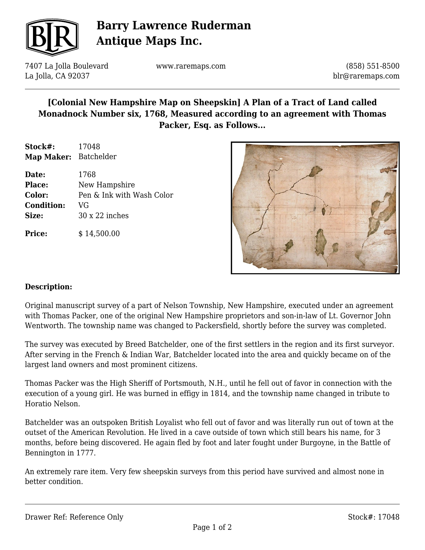

# **Barry Lawrence Ruderman Antique Maps Inc.**

7407 La Jolla Boulevard La Jolla, CA 92037

www.raremaps.com

(858) 551-8500 blr@raremaps.com

### **[Colonial New Hampshire Map on Sheepskin] A Plan of a Tract of Land called Monadnock Number six, 1768, Measured according to an agreement with Thomas Packer, Esq. as Follows...**

**Stock#:** 17048 **Map Maker:** Batchelder

**Date:** 1768 **Place:** New Hampshire **Color:** Pen & Ink with Wash Color **Condition:** VG **Size:** 30 x 22 inches

**Price:**  $$14,500.00$ 



#### **Description:**

Original manuscript survey of a part of Nelson Township, New Hampshire, executed under an agreement with Thomas Packer, one of the original New Hampshire proprietors and son-in-law of Lt. Governor John Wentworth. The township name was changed to Packersfield, shortly before the survey was completed.

The survey was executed by Breed Batchelder, one of the first settlers in the region and its first surveyor. After serving in the French & Indian War, Batchelder located into the area and quickly became on of the largest land owners and most prominent citizens.

Thomas Packer was the High Sheriff of Portsmouth, N.H., until he fell out of favor in connection with the execution of a young girl. He was burned in effigy in 1814, and the township name changed in tribute to Horatio Nelson.

Batchelder was an outspoken British Loyalist who fell out of favor and was literally run out of town at the outset of the American Revolution. He lived in a cave outside of town which still bears his name, for 3 months, before being discovered. He again fled by foot and later fought under Burgoyne, in the Battle of Bennington in 1777.

An extremely rare item. Very few sheepskin surveys from this period have survived and almost none in better condition.